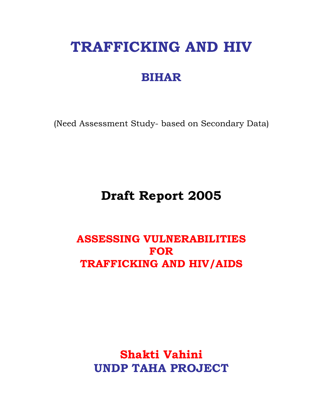# **TRAFFICKING AND HIV**

## **BIHAR**

(Need Assessment Study- based on Secondary Data)

## **Draft Report 2005**

### **ASSESSING VULNERABILITIES FOR TRAFFICKING AND HIV/AIDS**

**Shakti Vahini UNDP TAHA PROJECT**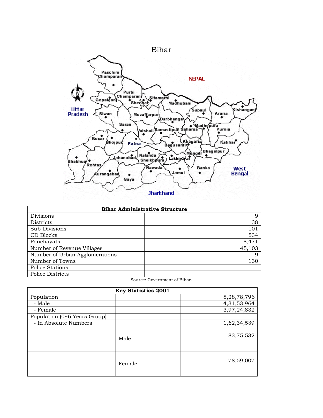

| <b>Bihar Administrative Structure</b> |        |  |  |  |  |
|---------------------------------------|--------|--|--|--|--|
| Divisions                             | 9      |  |  |  |  |
| <b>Districts</b>                      | 38     |  |  |  |  |
| Sub-Divisions                         | 101    |  |  |  |  |
| CD Blocks                             | 534    |  |  |  |  |
| Panchayats                            | 8,471  |  |  |  |  |
| Number of Revenue Villages            | 45,103 |  |  |  |  |
| Number of Urban Agglomerations        | q      |  |  |  |  |
| Number of Towns                       | 130    |  |  |  |  |
| Police Stations                       |        |  |  |  |  |
| Police Districts                      |        |  |  |  |  |

Source: Government of Bihar.

| <b>Key Statistics 2001</b>   |        |             |  |  |  |  |
|------------------------------|--------|-------------|--|--|--|--|
| Population                   |        | 8,28,78,796 |  |  |  |  |
| - Male                       |        | 4,31,53,964 |  |  |  |  |
| - Female                     |        | 3,97,24,832 |  |  |  |  |
| Population (0~6 Years Group) |        |             |  |  |  |  |
| - In Absolute Numbers        |        | 1,62,34,539 |  |  |  |  |
|                              | Male   | 83,75,532   |  |  |  |  |
|                              | Female | 78,59,007   |  |  |  |  |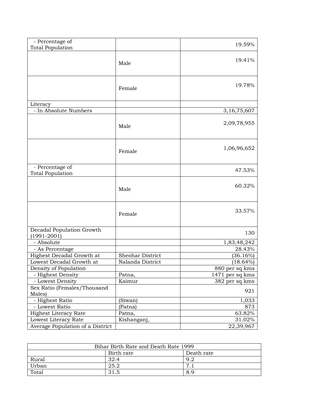| - Percentage of<br><b>Total Population</b>   |                  | 19.59%            |
|----------------------------------------------|------------------|-------------------|
|                                              | Male             | 19.41%            |
|                                              | Female           | 19.78%            |
| Literacy                                     |                  |                   |
| - In Absolute Numbers                        |                  | 3,16,75,607       |
|                                              | Male             | 2,09,78,955       |
|                                              | Female           | 1,06,96,652       |
| - Percentage of<br><b>Total Population</b>   |                  | 47.53%            |
|                                              | Male             | 60.32%            |
|                                              | Female           | 33.57%            |
| Decadal Population Growth<br>$(1991 - 2001)$ |                  | 130               |
| - Absolute                                   |                  | 1,83,48,242       |
| - As Percentage                              |                  | 28.43%            |
| Highest Decadal Growth at                    | Sheohar District | (36.16%)          |
| Lowest Decadal Growth at                     | Nalanda District | $(18.64\%)$       |
| Density of Population                        |                  | 880 per sq kms    |
| - Highest Density                            | Patna,           | $1471$ per sq kms |
| - Lowest Density                             | Kaimur           | 382 per sq kms    |
| Sex Ratio (Females/Thousand<br>Males)        |                  | 921               |
| - Highest Ratio                              | (Siwan)          | 1,033             |
| - Lowest Ratio                               | (Patna)          | 873               |
| <b>Highest Literacy Rate</b>                 | Patna,           | 63.82%            |
| Lowest Literacy Rate                         | Kishanganj,      | 31.02%            |
| Average Population of a District             |                  | 22,39,967         |

| Bihar Birth Rate and Death Rate 1999 |      |     |  |  |  |  |
|--------------------------------------|------|-----|--|--|--|--|
| Birth rate<br>Death rate             |      |     |  |  |  |  |
| Rural                                | 32.4 | 9.2 |  |  |  |  |
| Urban                                | 25.2 |     |  |  |  |  |
| Total                                | 31.5 | 8.9 |  |  |  |  |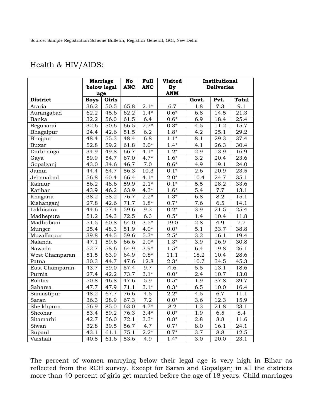#### Health & HIV/AIDS:

|                                    |                   | <b>Marriage</b>   | No                | Full             | <b>Visited</b>     | Institutional     |                   |                   |
|------------------------------------|-------------------|-------------------|-------------------|------------------|--------------------|-------------------|-------------------|-------------------|
|                                    |                   | below legal       | <b>ANC</b>        | <b>ANC</b>       | By                 | <b>Deliveries</b> |                   |                   |
|                                    | age               |                   |                   |                  | <b>ANM</b>         |                   |                   |                   |
| <b>District</b>                    | <b>Boys</b>       | Girls             |                   |                  |                    | Govt.             | Pvt.              | <b>Total</b>      |
| Araria                             | 36.2              | 50.5              | 65.8              | $2.1*$           | 6.7                | 1.8               | 7.3               | 9.1               |
| Aurangabad                         | 62.2              | 45.6              | 62.2              | $1.4*$           | $0.6*$             | 6.8               | 14.5              | 21.3              |
| Banka                              | 32.2              | 56.0              | 61.5              | 6.4              | $0.6*$             | 6.9               | 18.4              | $\overline{2}5.4$ |
| Begusarai                          | $\overline{32.6}$ | $\overline{50.6}$ | 66.5              | $2.7*$           | $0.3*$             | 4.5               | 11.2              | 15.7              |
| Bhagalpur                          | 24.4              | 42.6              | $\overline{51.5}$ | 6.2              | $1.8*$             | 4.2               | 25.1              | 29.2              |
| Bhojpur                            | 48.4              | 55.3              | 48.4              | 6.8              | $1.1*$             | 8.1               | 29.3              | 37.4              |
| <b>Buxar</b>                       | 52.8              | 59.2              | 61.8              | $3.0*$           | $1.4*$             | 4.1               | 26.3              | 30.4              |
| Darbhanga                          | 34.9              | 49.8              | 66.7              | $4.1*$           | $1.2*$             | 2.9               | 13.9              | 16.9              |
| Gaya                               | 59.9              | 54.7              | 67.0              | $4.7*$           | $1.6*$             | 3.2               | 20.4              | 23.6              |
| Gopalganj                          | 43.0              | 34.6              | $\frac{46.7}{ }$  | $\overline{7.0}$ | $\overline{0.6}$ * | 4.9               | 19.1              | $\overline{2}4.0$ |
| Jamui                              | 44.4              | 64.7              | 56.3              | 10.3             | $0.1*$             | 2.6               | 20.9              | 23.5              |
| Jehanabad                          | 56.8              | 60.4              | 66.4              | $4.1*$           | $2.0^{*}$          | 10.4              | 24.7              | 35.1              |
| Kaimur                             | 56.2              | 48.6              | 59.9              | $2.1*$           | $0.1*$             | 5.5               | 28.2              | 33.6              |
| Katihar                            | 43.9              | 46.2              | 63.9              | $4.3*$           | $1.6*$             | 5.4               | 7.7               | 13.1              |
| Khagaria                           | 38.2              | 58.2              | 76.7              | $2.2*$           | $1.3*$             | 6.8               | 8.2               | 15.1              |
| Kishanganj                         | 27.8              | 42.6              | $\overline{7}1.7$ | $1.8*$           | $0.7*$             | $\overline{7.6}$  | 6.5               | 14.1              |
| Lakhisarai                         | 44.6              | 57.4              | 59.6              | 9.3              | $0.2*$             | 3.9               | 21.5              | 25.4              |
| Madhepura                          | 51.2              | 54.3              | 72.5              | 6.3              | $0.5*$             | 1.4               | 10.4              | 11.8              |
| Madhubani                          | 51.5              | 60.8              | 64.0              | $3.5*$           | 19.0               | 2.8               | 4.9               | 7.7               |
| Munger                             | 25.4              | 48.3              | 51.9              | $4.0*$           | $0.0*$             | 5.1               | 33.7              | 38.8              |
| Muzaffarpur                        | 39.8              | 44.5              | 59.6              | $5.3*$           | $2.5*$             | $\overline{3.2}$  | 16.1              | 19.4              |
| Nalanda                            | 47.1              | 59.6              | 66.6              | $2.0*$           | $1.3*$             | $\overline{3.9}$  | $\overline{26.9}$ | 30.8              |
| Nawada                             | $\overline{52.7}$ | 58.6              | 64.9              | $3.9*$           | $1.5*$             | 6.4               | 19.8              | 26.1              |
| $\overline{\text{West}}$ Champaran | $\overline{51.5}$ | $\frac{1}{63.9}$  | 64.9              | $0.8*$           | 11.1               | 18.2              | 10.4              | 28.6              |
| Patna                              | 30.3              | 44.7              | 47.6              | 12.8             | $2.3*$             | 10.7              | 34.5              | 45.3              |
| East Champaran                     | 43.7              | 59.0              | 57.4              | 9.7              | 4.6                | $\overline{5.5}$  | 13.1              | 18.6              |
| Purnia                             | 27.4              | 42.2              | 73.7              | $3.1*$           | $0.0*$             | 2.4               | 10.7              | 13.0              |
| Rohtas                             | 50.8              | 46.8              | 47.6              | 5.9              | $0.5*$             | 1.9               | 37.8              | 39.7              |
| Saharsa                            | 47.7              | 47.9              | 71.1              | $3.1*$           | $0.3*$             | 6.5               | 10.0              | 16.4              |
| Samastipur                         | 48.2              | 67.7              | 76.6              | 4.5              | $2.2^\star$        | 4.5               | 6.7               | 11.1              |
| Saran                              | 36.3              | 28.9              | 67.3              | 7.2              | $0.0*$             | 3.6               | 12.3              | 15.9              |
| Sheikhpura                         | 56.9              | 85.0              | 63.0              | $4.7*$           | 8.2                | 1.3               | 21.8              | 23.1              |
| Sheohar                            | 53.4              | 59.2              | 76.3              | $3.4*$           | $0.0*$             | 1.9               | 6.5               | 8.4               |
| Sitamarhi                          | $\overline{42.7}$ | 56.0              | $\overline{72.1}$ | $3.3*$           | $0.8*$             | 2.8               | 8.8               | 11.6              |
| Siwan                              | 32.8              | 39.5              | 56.7              | 4.7              | $0.7*$             | 8.0               | 16.1              | 24.1              |
| Supaul                             | 43.1              | 61.1              | 75.1              | $2.2*$           | $0.7*$             | $3.7\,$           | 8.8               | 12.5              |
| Vaishali                           | 40.8              | 61.6              | 53.6              | 4.9              | $1.\overline{4*}$  | $\overline{3.0}$  | 20.0              | 23.1              |

The percent of women marrying below their legal age is very high in Bihar as reflected from the RCH survey. Except for Saran and Gopalganj in all the districts more than 40 percent of girls get married before the age of 18 years. Child marriages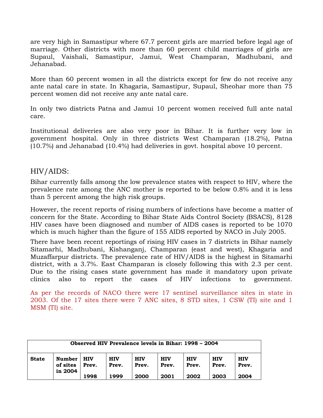are very high in Samastipur where 67.7 percent girls are married before legal age of marriage. Other districts with more than 60 percent child marriages of girls are Supaul, Vaishali, Samastipur, Jamui, West Champaran, Madhubani, and Jehanabad.

More than 60 percent women in all the districts except for few do not receive any ante natal care in state. In Khagaria, Samastipur, Supaul, Sheohar more than 75 percent women did not receive any ante natal care.

In only two districts Patna and Jamui 10 percent women received full ante natal care.

Institutional deliveries are also very poor in Bihar. It is further very low in government hospital. Only in three districts West Champaran (18.2%), Patna (10.7%) and Jehanabad (10.4%) had deliveries in govt. hospital above 10 percent.

#### HIV/AIDS:

Bihar currently falls among the low prevalence states with respect to HIV, where the prevalence rate among the ANC mother is reported to be below 0.8% and it is less than 5 percent among the high risk groups.

However, the recent reports of rising numbers of infections have become a matter of concern for the State. According to Bihar State Aids Control Society (BSACS), 8128 HIV cases have been diagnosed and number of AIDS cases is reported to be 1070 which is much higher than the figure of 155 AIDS reported by NACO in July 2005.

There have been recent reportings of rising HIV cases in 7 districts in Bihar namely Sitamarhi, Madhubani, Kishanganj, Champaran (east and west), Khagaria and Muzaffarpur districts. The prevalence rate of HIV/AIDS is the highest in Sitamarhi district, with a 3.7%. East Champaran is closely following this with 2.3 per cent. Due to the rising cases state government has made it mandatory upon private clinics also to report the cases of HIV infections to government.

As per the records of NACO there were 17 sentinel surveillance sites in state in 2003. Of the 17 sites there were 7 ANC sites, 8 STD sites, 1 CSW (TI) site and 1 MSM (TI) site.

| Observed HIV Prevalence levels in Bihar: 1998 – 2004 |                                      |                     |                     |                     |                     |                     |                     |                     |  |
|------------------------------------------------------|--------------------------------------|---------------------|---------------------|---------------------|---------------------|---------------------|---------------------|---------------------|--|
| <b>State</b>                                         | <b>Number</b><br>of sites<br>in 2004 | <b>HIV</b><br>Prev. | <b>HIV</b><br>Prev. | <b>HIV</b><br>Prev. | <b>HIV</b><br>Prev. | <b>HIV</b><br>Prev. | <b>HIV</b><br>Prev. | <b>HIV</b><br>Prev. |  |
|                                                      |                                      | 1998                | 1999                | 2000                | 2001                | 2002                | 2003                | 2004                |  |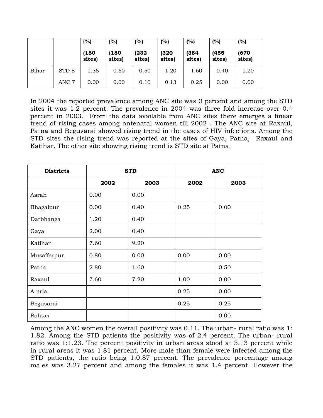|       |                  | (%)             | (%)           | (%)            | (%)            | (%)             | (%)            | (%)             |
|-------|------------------|-----------------|---------------|----------------|----------------|-----------------|----------------|-----------------|
|       |                  | (180)<br>sites) | 180<br>sites) | (232<br>sites) | (320<br>sites) | (384)<br>sites) | (455<br>sites) | (670)<br>sites) |
| Bihar | STD <sub>8</sub> | 1.35            | 0.60          | 0.50           | 1.20           | 1.60            | 0.40           | 1.20            |
|       | ANC 7            | 0.00            | 0.00          | 0.10           | 0.13           | 0.25            | 0.00           | 0.00            |

In 2004 the reported prevalence among ANC site was 0 percent and among the STD sites it was 1.2 percent. The prevalence in 2004 was three fold increase over 0.4 percent in 2003. From the data available from ANC sites there emerges a linear trend of rising cases among antenatal women till 2002 . The ANC site at Raxaul, Patna and Begusarai showed rising trend in the cases of HIV infections. Among the STD sites the rising trend was reported at the sites of Gaya, Patna, Raxaul and Katihar. The other site showing rising trend is STD site at Patna.

| <b>Districts</b> |      | <b>STD</b> | <b>ANC</b> |      |  |
|------------------|------|------------|------------|------|--|
|                  | 2002 | 2003       | 2002       | 2003 |  |
| Aarah            | 0.00 | 0.00       |            |      |  |
| Bhagalpur        | 0.00 | 0.40       | 0.25       | 0.00 |  |
| Darbhanga        | 1.20 | 0.40       |            |      |  |
| Gaya             | 2.00 | 0.40       |            |      |  |
| Katihar          | 7.60 | 9.20       |            |      |  |
| Muzaffarpur      | 0.80 | 0.00       | 0.00       | 0.00 |  |
| Patna            | 2.80 | 1.60       |            | 0.50 |  |
| Raxaul           | 7.60 | 7.20       | 1.00       | 0.00 |  |
| Araria           |      |            | 0.25       | 0.00 |  |
| Begusarai        |      |            | 0.25       | 0.25 |  |
| Rohtas           |      |            |            | 0.00 |  |

Among the ANC women the overall positivity was 0.11. The urban- rural ratio was 1: 1.82. Among the STD patients the positivity was of 2.4 percent. The urban- rural ratio was 1:1.23. The percent positivity in urban areas stood at 3.13 percent while in rural areas it was 1.81 percent. More male than female were infected among the STD patients, the ratio being 1:0.87 percent. The prevalence percentage among males was 3.27 percent and among the females it was 1.4 percent. However the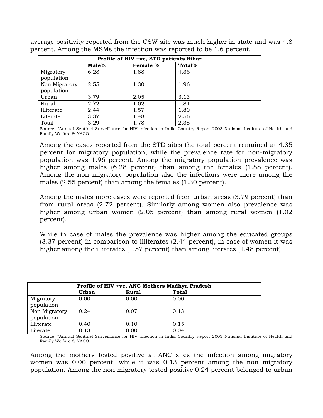| average positivity reported from the CSW site was much higher in state and was 4.8 |  |  |  |  |  |
|------------------------------------------------------------------------------------|--|--|--|--|--|
| percent. Among the MSMs the infection was reported to be 1.6 percent.              |  |  |  |  |  |

| Profile of HIV +ve, STD patients Bihar |       |          |        |  |  |  |  |  |
|----------------------------------------|-------|----------|--------|--|--|--|--|--|
|                                        | Male% | Female % | Total% |  |  |  |  |  |
| Migratory<br>population                | 6.28  | 1.88     | 4.36   |  |  |  |  |  |
| Non Migratory<br>population            | 2.55  | 1.30     | 1.96   |  |  |  |  |  |
| Urban                                  | 3.79  | 2.05     | 3.13   |  |  |  |  |  |
| Rural                                  | 2.72  | 1.02     | 1.81   |  |  |  |  |  |
| Illiterate                             | 2.44  | 1.57     | 1.80   |  |  |  |  |  |
| Literate                               | 3.37  | 1.48     | 2.56   |  |  |  |  |  |
| Total                                  | 3.29  | 1.78     | 2.38   |  |  |  |  |  |

Source: "Annual Sentinel Surveillance for HIV infection in India Country Report 2003 National Institute of Health and Family Welfare & NACO.

Among the cases reported from the STD sites the total percent remained at 4.35 percent for migratory population, while the prevalence rate for non-migratory population was 1.96 percent. Among the migratory population prevalence was higher among males (6.28 percent) than among the females (1.88 percent). Among the non migratory population also the infections were more among the males (2.55 percent) than among the females (1.30 percent).

Among the males more cases were reported from urban areas (3.79 percent) than from rural areas (2.72 percent). Similarly among women also prevalence was higher among urban women (2.05 percent) than among rural women (1.02 percent).

While in case of males the prevalence was higher among the educated groups (3.37 percent) in comparison to illiterates (2.44 percent), in case of women it was higher among the illiterates (1.57 percent) than among literates (1.48 percent).

| Profile of HIV +ve, ANC Mothers Madhya Pradesh |       |              |              |  |  |  |  |  |
|------------------------------------------------|-------|--------------|--------------|--|--|--|--|--|
|                                                | Urban | <b>Rural</b> | <b>Total</b> |  |  |  |  |  |
| Migratory<br>population                        | 0.00  | 0.00         | 0.00         |  |  |  |  |  |
| Non Migratory<br>population                    | 0.24  | 0.07         | 0.13         |  |  |  |  |  |
| Illiterate                                     | 0.40  | 0.10         | 0.15         |  |  |  |  |  |
| Literate                                       | 0.13  | 0.00         | 0.04         |  |  |  |  |  |

Source: "Annual Sentinel Surveillance for HIV infection in India Country Report 2003 National Institute of Health and Family Welfare & NACO.

Among the mothers tested positive at ANC sites the infection among migratory women was 0.00 percent, while it was 0.13 percent among the non migratory population. Among the non migratory tested positive 0.24 percent belonged to urban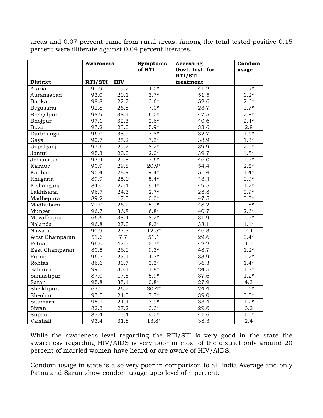areas and 0.07 percent came from rural areas. Among the total tested positive 0.15 percent were illiterate against 0.04 percent literates.

| <b>Awareness</b> |                   |            | <b>Symptoms</b> | Accessing       | $\overline{\text{Condom}}$ |
|------------------|-------------------|------------|-----------------|-----------------|----------------------------|
|                  |                   |            | of RTI          | Govt. Inst. for | usage                      |
|                  |                   |            |                 | RTI/STI         |                            |
| <b>District</b>  | RTI/STI           | <b>HIV</b> |                 | treatment       |                            |
| Araria           | 91.9              | 19.2       | $4.0*$          | 41.2            | $0.9*$                     |
| Aurangabad       | 93.0              | 20.1       | $3.7*$          | 51.5            | $1.2*$                     |
| Banka            | 98.8              | 22.7       | $3.6*$          | 52.6            | $2.6*$                     |
| Begusarai        | 92.8              | 26.8       | $7.0*$          | 23.7            | $1.7*$                     |
| Bhagalpur        | 98.9              | 38.1       | $6.0*$          | 47.5            | $2.8*$                     |
| Bhojpur          | 97.1              | 32.3       | $2.6*$          | 40.6            | $2.4*$                     |
| <b>Buxar</b>     | 97.2              | 23.0       | $5.9*$          | 33.6            | 2.8                        |
| Darbhanga        | 96.0              | 38.9       | $3.8*$          | 32.7            | $1.6*$                     |
| Gaya             | 90.7              | 25.2       | $7.3*$          | 38.9            | $1.3*$                     |
| Gopalganj        | $\frac{1}{97.6}$  | 29.7       | $8.2*$          | 39.9            | $2.0*$                     |
| Jamui            | 95.3              | 20.0       | $2.0*$          | 39.7            | $1.5*$                     |
| Jehanabad        | 93.4              | 25.8       | $7.6*$          | 46.0            | $1.5*$                     |
| Kaimur           | 90.9              | 29.8       | $20.9*$         | 54.4            | $2.5*$                     |
| Katihar          | 95.4              | 28.9       | $9.4*$          | 55.4            | $1.4*$                     |
| Khagaria         | 89.9              | 25.0       | $5.4*$          | 43.4            | $0.9*$                     |
| Kishanganj       | 84.0              | 22.4       | $9.4*$          | 49.5            | $1.2*$                     |
| Lakhisarai       | 96.7              | 24.3       | $2.7*$          | 28.8            | $0.9*$                     |
| Madhepura        | 89.2              | 17.3       | $0.0*$          | 47.5            | $0.3*$                     |
| Madhubani        | 71.0              | 26.2       | $5.9*$          | 48.2            | $0.8*$                     |
| Munger           | 96.7              | 36.8       | $6.8*$          | 40.7            | $2.6*$                     |
| Muzaffarpur      | 66.6              | 38.4       | $8.2*$          | 31.9            | $1.5*$                     |
| Nalanda          | 96.8              | 27.0       | $8.3*$          | 38.1            | $1.1*$                     |
| Nawada           | 90.9              | 27.3       | $12.5*$         | 46.3            | 2.4                        |
| West Champaran   | $\overline{5}1.6$ | 7.7        | 51.1            | 29.6            | $0.4*$                     |
| Patna            | 96.0              | 47.5       | $5.7*$          | 42.2            | 4.1                        |
| East Champaran   | 80.5              | 26.0       | $9.3*$          | 48.7            | $1.2*$                     |
| Purnia           | 96.5              | 27.1       | $4.3*$          | 33.9            | $1.2*$                     |
| Rohtas           | 86.6              | 30.7       | $3.3*$          | 36.3            | $1.4*$                     |
| Saharsa          | 99.5              | 30.1       | $1.8*$          | 24.5            | $1.8*$                     |
| Samastipur       | 87.0              | 17.8       | $5.9*$          | 37.6            | $1.2*$                     |
| Saran            | 95.8              | 35.1       | $0.8*$          | 27.9            | 4.3                        |
| Sheikhpura       | 62.7              | 26.2       | $30.4*$         | 24.4            | $0.6*$                     |
| Sheohar          | 97.5              | 21.5       | $7.7*$          | 39.0            | $0.5*$                     |
| Sitamarhi        | 95.2              | 21.4       | $3.9*$          | 33.4            | $1.2*$                     |
| Siwan            | 82.3              | 27.2       | $3.3*$          | 29.6            | $\overline{3.2}$           |
| Supaul           | 85.4              | 15.4       | $9.0*$          | 41.6            | $1.0*$                     |
| Vaishali         | 93.4              | 31.8       | $13.8*$         | 38.3            | 2.4                        |

While the awareness level regarding the RTI/STI is very good in the state the awareness regarding HIV/AIDS is very poor in most of the district only around 20 percent of married women have heard or are aware of HIV/AIDS.

Condom usage in state is also very poor in comparison to all India Average and only Patna and Saran show condom usage upto level of 4 percent.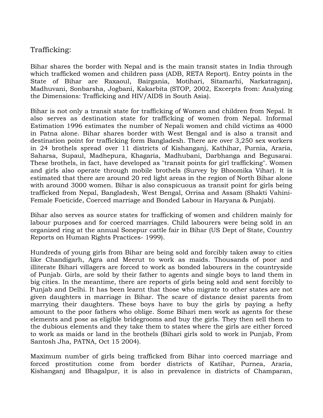#### Trafficking:

Bihar shares the border with Nepal and is the main transit states in India through which trafficked women and children pass (ADB, RETA Report). Entry points in the State of Bihar are Raxaoul, Bairgania, Motihari, Sitamarhi, Narkatraganj, Madhuvani, Sonbarsha, Jogbani, Kakarbita (STOP, 2002, Excerpts from: Analyzing the Dimensions: Trafficking and HIV/AIDS in South Asia).

Bihar is not only a transit state for trafficking of Women and children from Nepal. It also serves as destination state for trafficking of women from Nepal. Informal Estimation 1996 estimates the number of Nepali women and child victims as 4000 in Patna alone. Bihar shares border with West Bengal and is also a transit and destination point for trafficking form Bangladesh. There are over 3,250 sex workers in 24 brothels spread over 11 districts of Kishanganj, Kathihar, Purnia, Araria, Saharsa, Supaul, Madhepura, Khagaria, Madhubani, Darbhanga and Begusarai. These brothels, in fact, have developed as "transit points for girl trafficking". Women and girls also operate through mobile brothels (Survey by Bhoomika Vihar). It is estimated that there are around 20 red light areas in the region of North Bihar alone with around 3000 women. Bihar is also conspicuous as transit point for girls being trafficked from Nepal, Bangladesh, West Bengal, Orrisa and Assam (Shakti Vahini-Female Foeticide, Coerced marriage and Bonded Labour in Haryana & Punjab).

Bihar also serves as source states for trafficking of women and children mainly for labour purposes and for coerced marriages. Child labourers were being sold in an organized ring at the annual Sonepur cattle fair in Bihar (US Dept of State, Country Reports on Human Rights Practices- 1999).

Hundreds of young girls from Bihar are being sold and forcibly taken away to cities like Chandigarh, Agra and Meerut to work as maids. Thousands of poor and illiterate Bihari villagers are forced to work as bonded labourers in the countryside of Punjab. Girls, are sold by their father to agents and single boys to land them in big cities. In the meantime, there are reports of girls being sold and sent forcibly to Punjab and Delhi. It has been learnt that those who migrate to other states are not given daughters in marriage in Bihar. The scare of distance desist parents from marrying their daughters. These boys have to buy the girls by paying a hefty amount to the poor fathers who oblige. Some Bihari men work as agents for these elements and pose as eligible bridegrooms and buy the girls. They then sell them to the dubious elements and they take them to states where the girls are either forced to work as maids or land in the brothels (Bihari girls sold to work in Punjab, From Santosh Jha, PATNA, Oct 15 2004).

Maximum number of girls being trafficked from Bihar into coerced marriage and forced prostitution come from border districts of Katihar, Purnea, Araria, Kishanganj and Bhagalpur, it is also in prevalence in districts of Champaran,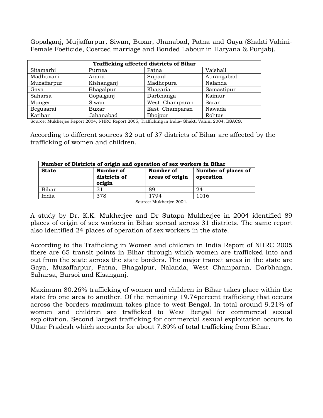Gopalganj, Mujjaffarpur, Siwan, Buxar, Jhanabad, Patna and Gaya (Shakti Vahini-Female Foeticide, Coerced marriage and Bonded Labour in Haryana & Punjab).

|             | Trafficking affected districts of Bihar |                |            |  |  |  |  |  |  |  |  |  |
|-------------|-----------------------------------------|----------------|------------|--|--|--|--|--|--|--|--|--|
| Sitamarhi   | Purnea                                  | Patna          | Vaishali   |  |  |  |  |  |  |  |  |  |
| Madhuvani   | Araria                                  | Supaul         | Aurangabad |  |  |  |  |  |  |  |  |  |
| Muzaffarpur | Kishanganj                              | Madhepura      | Nalanda    |  |  |  |  |  |  |  |  |  |
| Gaya        | Bhagalpur                               | Khagaria       | Samastipur |  |  |  |  |  |  |  |  |  |
| Saharsa     | Gopalganj                               | Darbhanga      | Kaimur     |  |  |  |  |  |  |  |  |  |
| Munger      | Siwan                                   | West Champaran | Saran      |  |  |  |  |  |  |  |  |  |
| Begusarai   | Buxar                                   | East Champaran | Nawada     |  |  |  |  |  |  |  |  |  |
| Katihar     | Jahanabad                               | Bhojpur        | Rohtas     |  |  |  |  |  |  |  |  |  |

Source: Mukherjee Report 2004, NHRC Report 2005, Trafficking in India- Shakti Vahini 2004, BSACS.

According to different sources 32 out of 37 districts of Bihar are affected by the trafficking of women and children.

| Number of Districts of origin and operation of sex workers in Bihar |                                     |                                                                  |      |  |  |  |  |  |  |  |
|---------------------------------------------------------------------|-------------------------------------|------------------------------------------------------------------|------|--|--|--|--|--|--|--|
| <b>State</b>                                                        | Number of<br>districts of<br>origin | Number of places of<br>Number of<br>areas of origin<br>operation |      |  |  |  |  |  |  |  |
| Bihar                                                               | 31                                  | 89                                                               | 24   |  |  |  |  |  |  |  |
| India                                                               | 378                                 | 1794                                                             | 1016 |  |  |  |  |  |  |  |
|                                                                     |                                     | $\alpha$ $\alpha$ $\alpha$                                       |      |  |  |  |  |  |  |  |

Source: Mukherjee 2004.

A study by Dr. K.K. Mukherjee and Dr Sutapa Mukherjee in 2004 identified 89 places of origin of sex workers in Bihar spread across 31 districts. The same report also identified 24 places of operation of sex workers in the state.

According to the Trafficking in Women and children in India Report of NHRC 2005 there are 65 transit points in Bihar through which women are trafficked into and out from the state across the state borders. The major transit areas in the state are Gaya, Muzaffarpur, Patna, Bhagalpur, Nalanda, West Champaran, Darbhanga, Saharsa, Barsoi and Kisanganj.

Maximum 80.26% trafficking of women and children in Bihar takes place within the state fro one area to another. Of the remaining 19.74percent trafficking that occurs across the borders maximum takes place to west Bengal. In total around 9.21% of women and children are trafficked to West Bengal for commercial sexual exploitation. Second largest trafficking for commercial sexual exploitation occurs to Uttar Pradesh which accounts for about 7.89% of total trafficking from Bihar.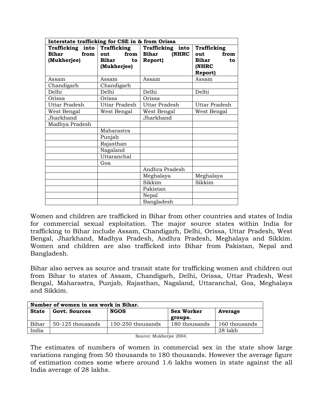| Interstate trafficking for CSE in & from Orissa                     |                                                      |                                                             |                                                               |  |
|---------------------------------------------------------------------|------------------------------------------------------|-------------------------------------------------------------|---------------------------------------------------------------|--|
| Trafficking into Trafficking<br><b>Bihar</b><br>from<br>(Mukherjee) | from  <br>out<br><b>Bihar</b><br>to l<br>(Mukherjee) | Trafficking into<br><b>Bihar</b><br>(NHRC<br><b>Report)</b> | Trafficking<br>from<br>out<br>Bihar<br>to<br>(NHRC<br>Report) |  |
| Assam                                                               | Assam                                                | Assam                                                       | Assam                                                         |  |
| Chandigarh                                                          | Chandigarh                                           |                                                             |                                                               |  |
| Delhi                                                               | Delhi                                                | Delhi                                                       | Delhi                                                         |  |
| Orissa                                                              | Orissa                                               | Orissa                                                      |                                                               |  |
| Uttar Pradesh                                                       | Uttar Pradesh                                        | Uttar Pradesh                                               | Uttar Pradesh                                                 |  |
| West Bengal                                                         | West Bengal                                          | West Bengal                                                 | West Bengal                                                   |  |
| Jharkhand                                                           | Jharkhand                                            |                                                             |                                                               |  |
| Madhya Pradesh                                                      |                                                      |                                                             |                                                               |  |
|                                                                     | Maharastra                                           |                                                             |                                                               |  |
|                                                                     | Punjab                                               |                                                             |                                                               |  |
|                                                                     | Rajasthan                                            |                                                             |                                                               |  |
|                                                                     | Nagaland                                             |                                                             |                                                               |  |
|                                                                     | Uttaranchal                                          |                                                             |                                                               |  |
|                                                                     | Goa                                                  |                                                             |                                                               |  |
|                                                                     |                                                      | Andhra Pradesh                                              |                                                               |  |
|                                                                     |                                                      | Meghalaya                                                   | Meghalaya                                                     |  |
|                                                                     |                                                      | Sikkim                                                      | Sikkim                                                        |  |
|                                                                     |                                                      | Pakistan                                                    |                                                               |  |
|                                                                     |                                                      | Nepal                                                       |                                                               |  |
|                                                                     |                                                      | Bangladesh                                                  |                                                               |  |

Women and children are trafficked in Bihar from other countries and states of India for commercial sexual exploitation. The major source states within India for trafficking to Bihar include Assam, Chandigarh, Delhi, Orissa, Uttar Pradesh, West Bengal, Jharkhand, Madhya Pradesh, Andhra Pradesh, Meghalaya and Sikkim. Women and children are also trafficked into Bihar from Pakistan, Nepal and Bangladesh.

Bihar also serves as source and transit state for trafficking women and children out from Bihar to states of Assam, Chandigarh, Delhi, Orissa, Uttar Pradesh, West Bengal, Maharastra, Punjab, Rajasthan, Nagaland, Uttaranchal, Goa, Meghalaya and Sikkim.

|              | Number of women in sex work in Bihar. |                         |                   |               |  |  |  |  |  |  |  |  |  |
|--------------|---------------------------------------|-------------------------|-------------------|---------------|--|--|--|--|--|--|--|--|--|
| <b>State</b> | <b>Govt. Sources</b>                  | <b>NGOS</b>             | <b>Sex Worker</b> | Average       |  |  |  |  |  |  |  |  |  |
|              |                                       |                         | groups.           |               |  |  |  |  |  |  |  |  |  |
| Bihar        | 50-125 thousands                      | 150-250 thousands       | 180 thousands     | 160 thousands |  |  |  |  |  |  |  |  |  |
| India        |                                       |                         |                   | 28 lakh       |  |  |  |  |  |  |  |  |  |
|              |                                       | Source: Mukherjee 2004. |                   |               |  |  |  |  |  |  |  |  |  |

The estimates of numbers of women in commercial sex in the state show large variations ranging from 50 thousands to 180 thousands. However the average figure of estimation comes some where around 1.6 lakhs women in state against the all India average of 28 lakhs.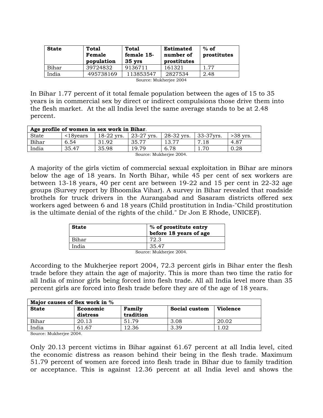| <b>State</b> | Total<br>Female<br>population | Total<br>female 15-<br>$35$ yrs | <b>Estimated</b><br>number of<br>prostitutes | $%$ of<br>prostitutes |
|--------------|-------------------------------|---------------------------------|----------------------------------------------|-----------------------|
| Bihar        | 39724832                      | 9136711                         | 161321                                       | 1.77                  |
| India        | 495738169                     | 113853547                       | 2827534                                      | 2.48                  |
|              |                               | $\sim$<br>.                     | $\sim$ $\sim$ $\sim$ $\sim$                  |                       |

Source: Mukherjee 2004

In Bihar 1.77 percent of it total female population between the ages of 15 to 35 years is in commercial sex by direct or indirect compulsions those drive them into the flesh market. At the all India level the same average stands to be at 2.48 percent.

|       | Age profile of women in sex work in Bihar. |              |                            |            |           |            |  |  |  |  |  |  |
|-------|--------------------------------------------|--------------|----------------------------|------------|-----------|------------|--|--|--|--|--|--|
| State | $\leq$ 18 vears                            | $18-22$ yrs. | 23-27<br>Vrs.              | 28-32 yrs. | 33-37yrs. | $>38$ vrs. |  |  |  |  |  |  |
| Bihar | 6.54                                       | .92          | 35.77                      |            |           | 4.87       |  |  |  |  |  |  |
| India | 35.47                                      | 35.98        | 10 70                      | 6.78       |           | 0.28       |  |  |  |  |  |  |
|       |                                            |              | $\alpha$ $\alpha$ $\alpha$ |            |           |            |  |  |  |  |  |  |

Source: Mukherjee 2004.

A majority of the girls victim of commercial sexual exploitation in Bihar are minors below the age of 18 years. In North Bihar, while 45 per cent of sex workers are between 13-18 years, 40 per cent are between 19-22 and 15 per cent in 22-32 age groups (Survey report by Bhoomika Vihar). A survey in Bihar revealed that roadside brothels for truck drivers in the Aurangabad and Sasaram districts offered sex workers aged between 6 and 18 years (Child prostitution in India-"Child prostitution is the ultimate denial of the rights of the child." Dr Jon E Rhode, UNICEF).

| <b>State</b> | % of prostitute entry<br>before 18 years of age |
|--------------|-------------------------------------------------|
| Bihar        | 72.3                                            |
| India        | 35.47                                           |
|              | .<br>$\sim$ $\sim$ $\sim$ $\sim$<br>$\sim$      |

Source: Mukherjee 2004.

According to the Mukherjee report 2004, 72.3 percent girls in Bihar enter the flesh trade before they attain the age of majority. This is more than two time the ratio for all India of minor girls being forced into flesh trade. All all India level more than 35 percent girls are forced into flesh trade before they are of the age of 18 years.

| Major causes of Sex work in % |          |           |               |                 |  |  |  |  |  |  |  |
|-------------------------------|----------|-----------|---------------|-----------------|--|--|--|--|--|--|--|
| <b>State</b>                  | Economic | Family    | Social custom | <b>Violence</b> |  |  |  |  |  |  |  |
|                               | distress | tradition |               |                 |  |  |  |  |  |  |  |
| Bihar                         | 20.13    | 51.79     | 3.08          | 20.02           |  |  |  |  |  |  |  |
| India                         | 61.67    | 12.36     | 3.39          | .02             |  |  |  |  |  |  |  |

Source: Mukherjee 2004.

Only 20.13 percent victims in Bihar against 61.67 percent at all India level, cited the economic distress as reason behind their being in the flesh trade. Maximum 51.79 percent of women are forced into flesh trade in Bihar due to family tradition or acceptance. This is against 12.36 percent at all India level and shows the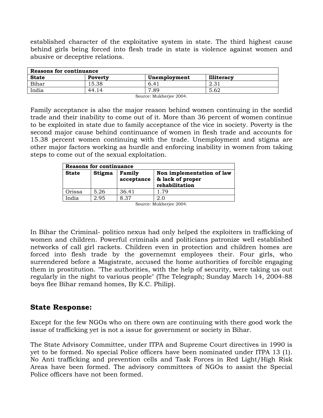established character of the exploitative system in state. The third highest cause behind girls being forced into flesh trade in state is violence against women and abusive or deceptive relations.

| Reasons for continuance |           |                       |                   |  |  |  |  |  |  |
|-------------------------|-----------|-----------------------|-------------------|--|--|--|--|--|--|
| <b>State</b>            | Poverty   | Unemployment          | <b>Illiteracy</b> |  |  |  |  |  |  |
| Bihar                   | 15.38     | 6.41                  | റാ<br>1 ت. 2      |  |  |  |  |  |  |
| India                   | 44.<br>14 | .89<br>$\overline{ }$ | 5.62              |  |  |  |  |  |  |
|                         |           |                       |                   |  |  |  |  |  |  |

Source: Mukherjee 2004.

Family acceptance is also the major reason behind women continuing in the sordid trade and their inability to come out of it. More than 36 percent of women continue to be exploited in state due to family acceptance of the vice in society. Poverty is the second major cause behind continuance of women in flesh trade and accounts for 15.38 percent women continuing with the trade. Unemployment and stigma are other major factors working as hurdle and enforcing inability in women from taking steps to come out of the sexual exploitation.

|              | <b>Reasons for continuance</b> |                      |                                                                 |  |  |  |  |  |  |  |  |
|--------------|--------------------------------|----------------------|-----------------------------------------------------------------|--|--|--|--|--|--|--|--|
| <b>State</b> | Stigma                         | Family<br>acceptance | Non implementation of law<br>& lack of proper<br>rehabilitation |  |  |  |  |  |  |  |  |
| Orissa       | 5.26                           | 36.41                | 1.79                                                            |  |  |  |  |  |  |  |  |
| India        | 2.95                           | 8.37                 | 2.0                                                             |  |  |  |  |  |  |  |  |

Source: Mukherjee 2004.

In Bihar the Criminal- politico nexus had only helped the exploiters in trafficking of women and children. Powerful criminals and politicians patronize well established networks of call girl rackets. Children even in protection and children homes are forced into flesh trade by the governemnt employees their. Four girls, who surrendered before a Magistrate, accused the home authorities of forcible engaging them in prostitution. "The authorities, with the help of security, were taking us out regularly in the night to various people" (The Telegraph; Sunday March 14, 2004-88 boys flee Bihar remand homes, By K.C. Philip).

#### **State Response:**

Except for the few NGOs who on there own are continuing with there good work the issue of trafficking yet is not a issue for government or society in Bihar.

The State Advisory Committee, under ITPA and Supreme Court directives in 1990 is yet to be formed. No special Police officers have been nominated under ITPA 13 (1). No Anti trafficking and prevention cells and Task Forces in Red Light/High Risk Areas have been formed. The advisory committees of NGOs to assist the Special Police officers have not been formed.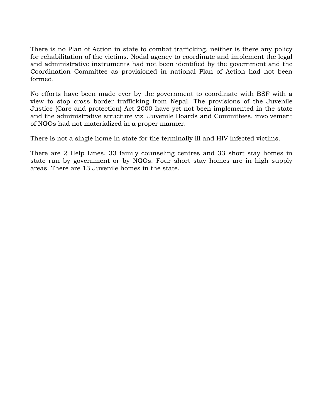There is no Plan of Action in state to combat trafficking, neither is there any policy for rehabilitation of the victims. Nodal agency to coordinate and implement the legal and administrative instruments had not been identified by the government and the Coordination Committee as provisioned in national Plan of Action had not been formed.

No efforts have been made ever by the government to coordinate with BSF with a view to stop cross border trafficking from Nepal. The provisions of the Juvenile Justice (Care and protection) Act 2000 have yet not been implemented in the state and the administrative structure viz. Juvenile Boards and Committees, involvement of NGOs had not materialized in a proper manner.

There is not a single home in state for the terminally ill and HIV infected victims.

There are 2 Help Lines, 33 family counseling centres and 33 short stay homes in state run by government or by NGOs. Four short stay homes are in high supply areas. There are 13 Juvenile homes in the state.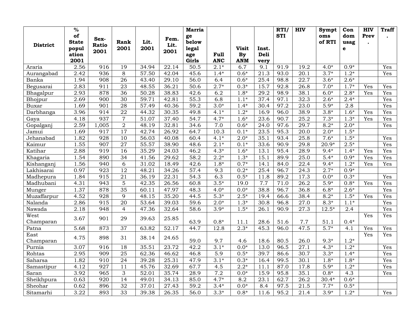|                 | $\frac{9}{6}$      |                  |                 |                   |                    | <b>Marria</b> |                  |                   |       | RTI        | <b>HIV</b>        | Sympt         | Con               | <b>HIV</b> | <b>Traff</b> |
|-----------------|--------------------|------------------|-----------------|-------------------|--------------------|---------------|------------------|-------------------|-------|------------|-------------------|---------------|-------------------|------------|--------------|
|                 | of<br><b>State</b> | Sex-             | Rank            | Lit.              | Fem.               | ge<br>below   |                  |                   |       | <b>STI</b> |                   | oms<br>of RTI | dom<br>usag       | Prev       |              |
| <b>District</b> | popul              | <b>Ratio</b>     | 2001            | 2001              | Lit.               | <b>legal</b>  |                  | <b>Visit</b>      | Inst. |            |                   |               | e                 |            |              |
|                 | ation              | 2001             |                 |                   | 2001               | age           | Full             | <b>By</b>         | Deli  |            |                   |               |                   |            |              |
|                 | 2001               |                  |                 |                   |                    | Girls         | <b>ANC</b>       | <b>ANM</b>        | very  |            |                   |               |                   |            |              |
| Araria          | 2.56               | 916              | 19              | 34.94             | 22.14              | 50.5          | $2.1*$           | 6.7               | 9.1   | 91.9       | 19.2              | $4.0*$        | $0.9*$            |            | Yes          |
| Aurangabad      | 2.42               | 936              | 8               | 57.50             | 42.04              | 45.6          | $1.4*$           | $0.6*$            | 21.3  | 93.0       | 20.1              | $3.7*$        | $1.2*$            |            | Yes          |
| Banka           | 1.94               | 908              | 26              | 43.40             | 29.10              | 56.0          | 6.4              | $0.6*$            | 25.4  | 98.8       | 22.7              | $3.6*$        | $2.6*$            |            |              |
| Begusarai       | 2.83               | 911              | 23              | 48.55             | 36.21              | 50.6          | $2.7*$           | $0.3*$            | 15.7  | 92.8       | 26.8              | $7.0*$        | $1.7*$            | Yes        | Yes          |
| Bhagalpur       | 2.93               | 878              | 36              | $\frac{1}{50.28}$ | 38.83              | 42.6          | $\overline{6.2}$ | $1.8*$            | 29.2  | 98.9       | 38.1              | $6.0*$        | $2.8*$            | Yes        | Yes          |
| Bhojpur         | 2.69               | 900              | 30              | 59.71             | 42.81              | 55.3          | 6.8              | $1.1*$            | 37.4  | 97.1       | 32.3              | $2.6*$        | $2.4*$            |            | Yes          |
| Buxar           | 1.69               | $\overline{901}$ | $\overline{28}$ | 57.49             | 40.36              | 59.2          | $3.0*$           | $1.4*$            | 30.4  | 97.2       | 23.0              | $5.9*$        | $\overline{2.8}$  |            | Yes          |
| Darbhanga       | 3.96               | 914              | $\overline{22}$ | 44.32             | 30.35              | 49.8          | $4.1*$           | $1.2*$            | 16.9  | 96.0       | 38.9              | $3.8*$        | $1.6*$            | Yes        | Yes          |
| Gaya            | 4.18               | 937              | $\overline{7}$  | 51.07             | 37.40              | 54.7          | $4.7*$           | $1.6*$            | 23.6  | 90.7       | 25.2              | $7.3*$        | $1.3*$            | Yes        | Yes          |
| Gopalganj       | 2.59               | 1,005            | $\overline{2}$  | 48.19             | 32.81              | 34.6          | 7.0              | $0.6*$            | 24.0  | 97.6       | 29.7              | $8.2*$        | $2.0*$            |            | Yes          |
| Jamui           | 1.69               | 917              | 17              | 42.74             | 26.92              | 64.7          | 10.3             | $0.1*$            | 23.5  | 95.3       | 20.0              | $2.0*$        | $1.\overline{5*}$ |            |              |
| Jehanabad       | 1.82               | 928              | 10              | 56.03             | 40.08              | 60.4          | $4.1*$           | $2.0*$            | 35.1  | 93.4       | 25.8              | $7.6*$        | $1.5*$            |            | Yes          |
| Kaimur          | 1.55               | $\overline{907}$ | $\overline{27}$ | 55.57             | 38.90              | 48.6          | $2.1*$           | $0.1*$            | 33.6  | 90.9       | 29.8              | $20.9*$       | $2.5*$            |            | Yes          |
| Katihar         | 2.88               | 919              | 16              | 35.29             | $\overline{24.03}$ | 46.2          | $4.3*$           | $1.6*$            | 13.1  | 95.4       | 28.9              | $9.4*$        | $1.4*$            | Yes        | Yes          |
| Khagaria        | 1.54               | 890              | 34              | 41.56             | 29.62              | 58.2          | $2.2*$           | $1.3*$            | 15.1  | 89.9       | 25.0              | $5.4*$        | $0.9*$            | Yes        | Yes          |
| Kishanganj      | 1.56               | 940              | 6               | 31.02             | 18.49              | 42.6          | $1.8*$           | $0.7*$            | 14.1  | 84.0       | 22.4              | $9.4*$        | $1.2*$            | Yes        | Yes          |
| Lakhisarai      | 0.97               | 923              | $\overline{12}$ | 48.21             | 34.26              | 57.4          | 9.3              | $0.2*$            | 25.4  | 96.7       | 24.3              | $2.7*$        | $0.9*$            |            |              |
| Madhepura       | 1.84               | 915              | 21              | 36.19             | 22.31              | 54.3          | 6.3              | $0.5*$            | 11.8  | 89.2       | 17.3              | $0.0*$        | $0.3*$            |            | Yes          |
| Madhubani       | 4.31               | 943              | $\overline{5}$  | 42.35             | 26.56              | 60.8          | $3.5*$           | 19.0              | 7.7   | 71.0       | 26.2              | $5.9*$        | $0.8*$            | Yes        | Yes          |
| Munger          | 1.37               | 878              | $\overline{35}$ | 60.11             | 47.97              | 48.3          | $4.0*$           | $0.0*$            | 38.8  | 96.7       | 36.8              | $6.8*$        | $2.6*$            |            | Yes          |
| Muzaffarpur     | 4.52               | 928              | 9               | 48.15             | 35.20              | 44.5          | $5.3*$           | $2.5*$            | 19.4  | 66.6       | 38.4              | $8.2*$        | $1.5*$            | Yes        | Yes          |
| Nalanda         | 2.86               | 915              | 20              | 53.64             | 39.03              | 59.6          | $2.0*$           | $1.3*$            | 30.8  | 96.8       | 27.0              | $8.3*$        | $1.1*$            |            | Yes          |
| Nawada          | 2.18               | 948              | $\overline{4}$  | 47.36             | 32.64              | 58.6          | $3.9*$           | $1.5*$            | 26.1  | 90.9       | 27.3              | $12.5*$       | 2.4               |            | Yes          |
| West            | 3.67               | 901              | 29              | 39.63             | 25.85              |               |                  |                   |       |            |                   |               |                   | Yes        | Yes          |
| Champaran       |                    |                  |                 |                   |                    | 63.9          | $0.8*$           | 11.1              | 28.6  | 51.6       | 7.7               | 51.1          | $0.4*$            |            |              |
| Patna           | 5.68               | 873              | $\overline{37}$ | 63.82             | 52.17              | 44.7          | 12.8             | $2.3*$            | 45.3  | 96.0       | 47.5              | $5.7*$        | 4.1               | Yes        | Yes          |
| East            | 4.75               | 898              | 31              | 38.14             | 24.65              |               |                  |                   |       |            |                   |               |                   | Yes        | Yes          |
| Champaran       |                    |                  |                 |                   |                    | 59.0          | 9.7              | 4.6               | 18.6  | 80.5       | 26.0              | $9.3*$        | $1.2*$            |            |              |
| Purnia          | 3.07               | 916              | 18              | 35.51             | 23.72              | 42.2          | $3.1*$           | $0.0*$            | 13.0  | 96.5       | $\overline{27.1}$ | $4.3*$        | $1.2*$            |            | Yes          |
| Rohtas          | 2.95               | 909              | 25              | 62.36             | 46.62              | 46.8          | $\overline{5.9}$ | $0.5*$            | 39.7  | 86.6       | 30.7              | $3.3*$        | $1.4*$            |            | Yes          |
| Saharsa         | 1.82               | 910              | 24              | 39.28             | 25.31              | 47.9          | $3.1*$           | $0.3*$            | 16.4  | 99.5       | 30.1              | $1.8*$        | $1.8*$            |            | Yes          |
| Samastipur      | 4.12               | $\overline{927}$ | $\overline{11}$ | 45.76             | 32.69              | 67.7          | $\overline{4.5}$ | $\overline{2.2*}$ | 11.1  | 87.0       | 17.8              | $5.9*$        | $1.2*$            |            | Yes          |
| Saran           | 3.92               | 965              | $\overline{3}$  | 52.01             | 35.74              | 28.9          | 7.2              | $0.0*$            | 15.9  | 95.8       | 35.1              | $0.8*$        | 4.3               |            | Yes          |
| Sheikhpura      | 0.63               | $\overline{920}$ | 14              | 49.01             | 34.13              | 85.0          | $4.7*$           | 8.2               | 23.1  | 62.7       | $\overline{26.2}$ | $30.4*$       | $0.6*$            |            |              |
| Sheohar         | 0.62               | 896              | 32              | 37.01             | 27.43              | 59.2          | $3.4*$           | $0.0*$            | 8.4   | 97.5       | 21.5              | $7.7*$        | $0.5*$            |            |              |
| Sitamarhi       | 3.22               | 893              | 33              | 39.38             | 26.35              | 56.0          | $3.3*$           | $0.8*$            | 11.6  | 95.2       | $\overline{21.4}$ | $3.9*$        | $1.2*$            |            | Yes          |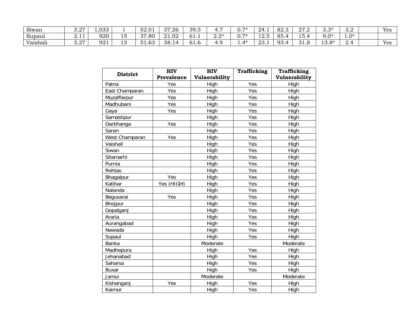| $\sim$ $\sim$ $\sim$ $\sim$<br>Sıwan | $\sim$ $-$<br>◡. | $\sim$ $\sim$<br>$\overline{a}$ |          | $\sim$ $\sim$<br>34.U | 37.96<br>۰⊿۰<br>ັ | 39.5             |             | $\overline{ }$<br>U. | 24.1                  | $\circ$<br>o4.3                 | $\sim$ $-$<br>41.4 | $\Omega$<br>v.v             | ົ<br>◡.∠                            | Yes |
|--------------------------------------|------------------|---------------------------------|----------|-----------------------|-------------------|------------------|-------------|----------------------|-----------------------|---------------------------------|--------------------|-----------------------------|-------------------------------------|-----|
| Supaul                               | <u> 4. 1</u>     | 920                             | -<br>∸   | 37.80                 | 21.02             | - -<br>01.1      | ገ ባ*<br>4.4 | $\overline{ }$<br>∪. | $\sim$ $\sim$<br>14.V | 85.<br>痴                        | - -<br>15.         | $9.0*$                      | ብ*<br>$\mathbf{1} \cdot \mathbf{U}$ |     |
| $\sim$ $\sim$<br>Vaishali            | $\sim$<br>◡.     | oo.<br>ソムエ                      | . .<br>∸ | $\sim$<br>⊽⊥.∪        | 38.1              | . .<br>n<br>01.U | .           | <b>1*</b><br>. .     | $\cap$<br>40.1        | 93.<br>$\overline{\phantom{a}}$ | . U                | $\sim$<br>$\Omega*$<br>10.U | ൧                                   | Yes |

| <b>District</b> | <b>HIV</b> | <b>HIV</b>    | <b>Trafficking</b> | Trafficking   |
|-----------------|------------|---------------|--------------------|---------------|
|                 | Prevalence | Vulnerability |                    | Vulnerability |
| Patna           | Yes        | High          | Yes                | High          |
| East Champaran  | Yes        | High          | Yes                | High          |
| Muzaffarpur     | Yes        | High          | Yes                | High          |
| Madhubani       | Yes        | High          | Yes                | High          |
| Gaya            | Yes        | High          | Yes                | High          |
| Samastipur      |            | High          | Yes                | High          |
| Darbhanga       | Yes        | High          | Yes                | High          |
| Saran           |            | High          | Yes                | High          |
| West Champaran  | Yes        | High          | Yes                | High          |
| Vaishali        |            | High          | Yes                | High          |
| Siwan           |            | High          | Yes                | High          |
| Sitamarhi       |            | High          | Yes                | High          |
| Purnia          |            | High          | Yes                | High          |
| Rohtas          |            | High          | Yes                | High          |
| Bhagalpur       | Yes        | High          | Yes                | High          |
| Katihar         | Yes (HIGH) | High          | Yes                | High          |
| Nalanda         |            | High          | Yes                | High          |
| Begusarai       | Yes        | High          | Yes                | High          |
| Bhojpur         |            | High          | Yes                | High          |
| Gopalganj       |            | High          | Yes                | High          |
| Araria          |            | High          | Yes                | High          |
| Aurangabad      |            | High          | Yes                | High          |
| Nawada          |            | High          | Yes                | High          |
| Supaul          |            | High          | Yes                | High          |
| Banka           |            | Moderate      |                    | Moderate      |
| Madhepura       |            | High          | Yes                | High          |
| Jehanabad       |            | High          | Yes                | High          |
| Saharsa         |            | High          | Yes                | High          |
| <b>Buxar</b>    |            | High          | Yes                | High          |
| Jamui           |            | Moderate      |                    | Moderate      |
| Kishanganj      | Yes        | High          | Yes                | High          |
| Kaimur          |            | High          | Yes                | High          |